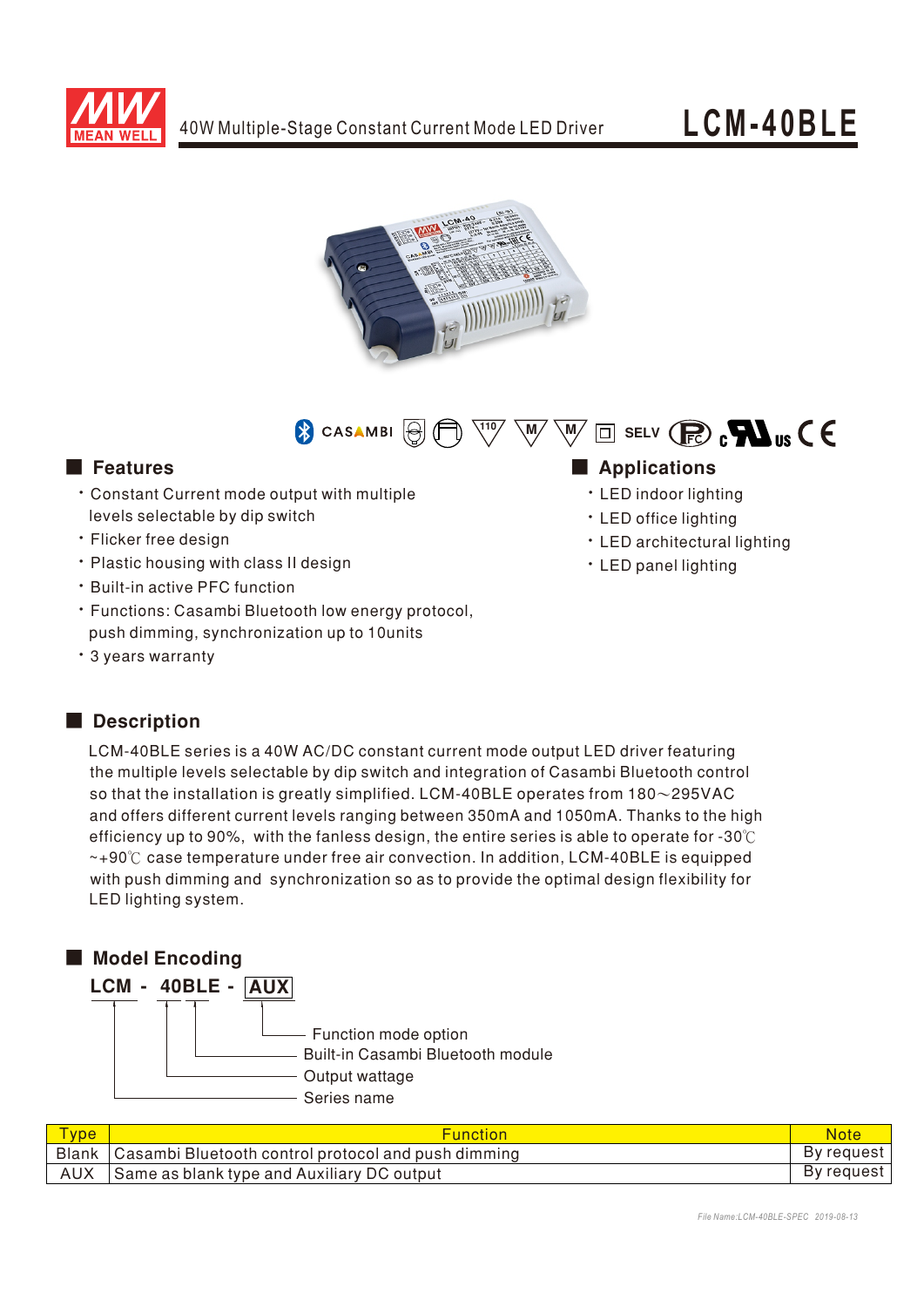



 $\overline{\mathbb{W}}\ \overline{\mathbb{W}}\ \overline{\mathbb{W}}\ \overline{\mathbb{M}}\ \mathbb{S}$  selv  $\mathbb{R}\ \mathbb{R}$  ,  $\blacksquare$  us  $\mathsf{C}\ \mathsf{C}$ CASAMBI<sup>[8]</sup>

- Constant Current mode output with multiple levels selectable by dip switch
- **· Flicker free design**
- Plastic housing with class II design
- Built-in active PFC function
- Functions: Casambi Bluetooth low energy protocol, push dimming, synchronization up to 10units
- 3 years warranty

## Description

LCM-40BLE series is a 40W AC/DC constant current mode output LED driver featuring the multiple levels selectable by dip switch and integration of Casambi Bluetooth control so that the installation is greatly simplified. LCM-40BLE operates from  $180\sim$ 295VAC and offers different current levels ranging between 350mA and 1050mA. Thanks to the high efficiency up to 90%, with the fanless design, the entire series is able to operate for -30℃ ~+90℃ case temperature under free air convection. In addition, LCM-40BLE is equipped with push dimming and synchronization so as to provide the optimal design flexibility for LED lighting system.



| <b>Type</b> | <b>Function</b>                                             | <b>Note</b> |
|-------------|-------------------------------------------------------------|-------------|
|             | Blank   Casambi Bluetooth control protocol and push dimming | By request  |
| <b>AUX</b>  | Same as blank type and Auxiliary DC output                  | By request  |

# ■ Features ■ National Manufactures ■ National Manufactures ■ National Manufactures ■ National Manufactures ■ National Manufactures ■ National Manufactures ■ National Manufactures ■ National Manufactures ■ National Manufac

- LED indoor lighting
- · LED office lighting
- LED architectural lighting
- · LED panel lighting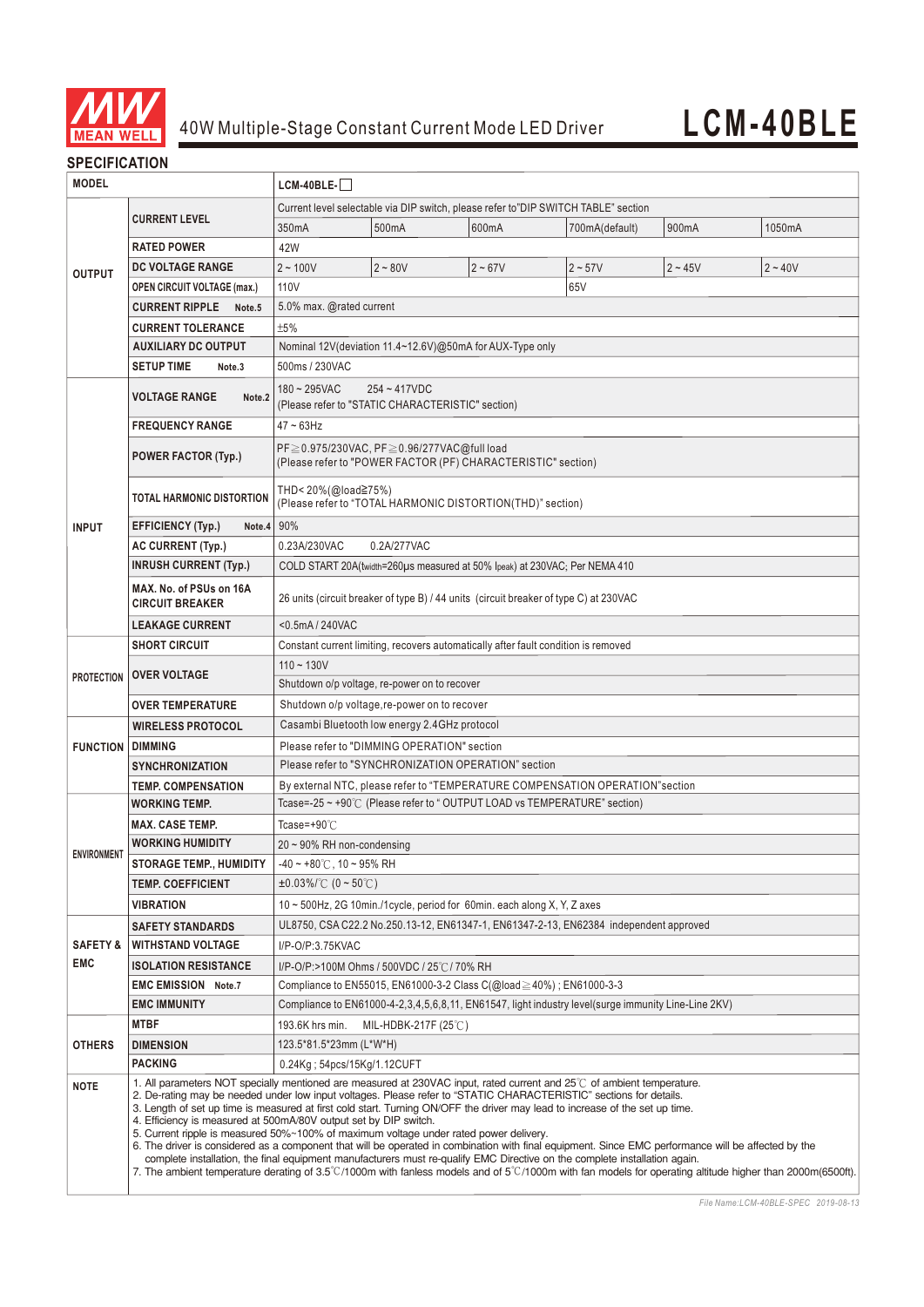

### **SPECIFICATION**

| <b>MODEL</b>                                                                           |                                                   | LCM-40BLE-                                                                                                                                                                                                                                                                                                                                                                                                                                                                                                                                                                                                                                                                                                                                                                                                                                                                                                                                                                                  |                                              |                                                                            |                |           |           |  |  |
|----------------------------------------------------------------------------------------|---------------------------------------------------|---------------------------------------------------------------------------------------------------------------------------------------------------------------------------------------------------------------------------------------------------------------------------------------------------------------------------------------------------------------------------------------------------------------------------------------------------------------------------------------------------------------------------------------------------------------------------------------------------------------------------------------------------------------------------------------------------------------------------------------------------------------------------------------------------------------------------------------------------------------------------------------------------------------------------------------------------------------------------------------------|----------------------------------------------|----------------------------------------------------------------------------|----------------|-----------|-----------|--|--|
|                                                                                        |                                                   | Current level selectable via DIP switch, please refer to"DIP SWITCH TABLE" section                                                                                                                                                                                                                                                                                                                                                                                                                                                                                                                                                                                                                                                                                                                                                                                                                                                                                                          |                                              |                                                                            |                |           |           |  |  |
| <b>OUTPUT</b>                                                                          | <b>CURRENT LEVEL</b>                              | 350mA                                                                                                                                                                                                                                                                                                                                                                                                                                                                                                                                                                                                                                                                                                                                                                                                                                                                                                                                                                                       | 500mA                                        | 600mA                                                                      | 700mA(default) | 900mA     | 1050mA    |  |  |
|                                                                                        | <b>RATED POWER</b>                                | 42W                                                                                                                                                                                                                                                                                                                                                                                                                                                                                                                                                                                                                                                                                                                                                                                                                                                                                                                                                                                         |                                              |                                                                            |                |           |           |  |  |
|                                                                                        | DC VOLTAGE RANGE                                  | $2 - 100V$                                                                                                                                                                                                                                                                                                                                                                                                                                                                                                                                                                                                                                                                                                                                                                                                                                                                                                                                                                                  | $2 - 80V$                                    | $2 - 67V$                                                                  | $2 - 57V$      | $2 - 45V$ | $2 - 40V$ |  |  |
|                                                                                        | <b>OPEN CIRCUIT VOLTAGE (max.)</b>                | 110V                                                                                                                                                                                                                                                                                                                                                                                                                                                                                                                                                                                                                                                                                                                                                                                                                                                                                                                                                                                        |                                              |                                                                            | 65V            |           |           |  |  |
|                                                                                        | <b>CURRENT RIPPLE</b><br>Note.5                   | 5.0% max. @rated current                                                                                                                                                                                                                                                                                                                                                                                                                                                                                                                                                                                                                                                                                                                                                                                                                                                                                                                                                                    |                                              |                                                                            |                |           |           |  |  |
|                                                                                        | <b>CURRENT TOLERANCE</b>                          | ±5%                                                                                                                                                                                                                                                                                                                                                                                                                                                                                                                                                                                                                                                                                                                                                                                                                                                                                                                                                                                         |                                              |                                                                            |                |           |           |  |  |
| <b>AUXILIARY DC OUTPUT</b><br>Nominal 12V(deviation 11.4~12.6V)@50mA for AUX-Type only |                                                   |                                                                                                                                                                                                                                                                                                                                                                                                                                                                                                                                                                                                                                                                                                                                                                                                                                                                                                                                                                                             |                                              |                                                                            |                |           |           |  |  |
|                                                                                        | <b>SETUP TIME</b><br>Note <sub>.3</sub>           | 500ms / 230VAC                                                                                                                                                                                                                                                                                                                                                                                                                                                                                                                                                                                                                                                                                                                                                                                                                                                                                                                                                                              |                                              |                                                                            |                |           |           |  |  |
|                                                                                        | <b>VOLTAGE RANGE</b><br>Note.2                    | $180 - 295$ VAC<br>$254 - 417$ VDC<br>(Please refer to "STATIC CHARACTERISTIC" section)                                                                                                                                                                                                                                                                                                                                                                                                                                                                                                                                                                                                                                                                                                                                                                                                                                                                                                     |                                              |                                                                            |                |           |           |  |  |
|                                                                                        | <b>FREQUENCY RANGE</b>                            | $47 \sim 63$ Hz                                                                                                                                                                                                                                                                                                                                                                                                                                                                                                                                                                                                                                                                                                                                                                                                                                                                                                                                                                             |                                              |                                                                            |                |           |           |  |  |
|                                                                                        | <b>POWER FACTOR (Typ.)</b>                        | $PF \geq 0.975/230\text{VAC}$ , $PF \geq 0.96/277\text{VAC}$ @full load<br>(Please refer to "POWER FACTOR (PF) CHARACTERISTIC" section)                                                                                                                                                                                                                                                                                                                                                                                                                                                                                                                                                                                                                                                                                                                                                                                                                                                     |                                              |                                                                            |                |           |           |  |  |
|                                                                                        | TOTAL HARMONIC DISTORTION                         | THD< 20%(@load≧75%)<br>(Please refer to "TOTAL HARMONIC DISTORTION(THD)" section)                                                                                                                                                                                                                                                                                                                                                                                                                                                                                                                                                                                                                                                                                                                                                                                                                                                                                                           |                                              |                                                                            |                |           |           |  |  |
| <b>INPUT</b>                                                                           | <b>EFFICIENCY (Typ.)</b><br>Note.4                | 90%                                                                                                                                                                                                                                                                                                                                                                                                                                                                                                                                                                                                                                                                                                                                                                                                                                                                                                                                                                                         |                                              |                                                                            |                |           |           |  |  |
|                                                                                        | <b>AC CURRENT (Typ.)</b>                          | 0.23A/230VAC<br>0.2A/277VAC                                                                                                                                                                                                                                                                                                                                                                                                                                                                                                                                                                                                                                                                                                                                                                                                                                                                                                                                                                 |                                              |                                                                            |                |           |           |  |  |
|                                                                                        | <b>INRUSH CURRENT (Typ.)</b>                      |                                                                                                                                                                                                                                                                                                                                                                                                                                                                                                                                                                                                                                                                                                                                                                                                                                                                                                                                                                                             |                                              | COLD START 20A(twidth=260µs measured at 50% Ipeak) at 230VAC; Per NEMA 410 |                |           |           |  |  |
|                                                                                        | MAX. No. of PSUs on 16A<br><b>CIRCUIT BREAKER</b> | 26 units (circuit breaker of type B) / 44 units (circuit breaker of type C) at 230VAC                                                                                                                                                                                                                                                                                                                                                                                                                                                                                                                                                                                                                                                                                                                                                                                                                                                                                                       |                                              |                                                                            |                |           |           |  |  |
|                                                                                        | <b>LEAKAGE CURRENT</b>                            | <0.5mA/240VAC                                                                                                                                                                                                                                                                                                                                                                                                                                                                                                                                                                                                                                                                                                                                                                                                                                                                                                                                                                               |                                              |                                                                            |                |           |           |  |  |
|                                                                                        | <b>SHORT CIRCUIT</b>                              | Constant current limiting, recovers automatically after fault condition is removed                                                                                                                                                                                                                                                                                                                                                                                                                                                                                                                                                                                                                                                                                                                                                                                                                                                                                                          |                                              |                                                                            |                |           |           |  |  |
| <b>PROTECTION</b>                                                                      | <b>OVER VOLTAGE</b>                               | $110 - 130V$                                                                                                                                                                                                                                                                                                                                                                                                                                                                                                                                                                                                                                                                                                                                                                                                                                                                                                                                                                                | Shutdown o/p voltage, re-power on to recover |                                                                            |                |           |           |  |  |
|                                                                                        | <b>OVER TEMPERATURE</b>                           | Shutdown o/p voltage, re-power on to recover                                                                                                                                                                                                                                                                                                                                                                                                                                                                                                                                                                                                                                                                                                                                                                                                                                                                                                                                                |                                              |                                                                            |                |           |           |  |  |
| Casambi Bluetooth low energy 2.4GHz protocol<br><b>WIRELESS PROTOCOL</b>               |                                                   |                                                                                                                                                                                                                                                                                                                                                                                                                                                                                                                                                                                                                                                                                                                                                                                                                                                                                                                                                                                             |                                              |                                                                            |                |           |           |  |  |
| <b>FUNCTION DIMMING</b><br>Please refer to "DIMMING OPERATION" section                 |                                                   |                                                                                                                                                                                                                                                                                                                                                                                                                                                                                                                                                                                                                                                                                                                                                                                                                                                                                                                                                                                             |                                              |                                                                            |                |           |           |  |  |
|                                                                                        | <b>SYNCHRONIZATION</b>                            | Please refer to "SYNCHRONIZATION OPERATION" section                                                                                                                                                                                                                                                                                                                                                                                                                                                                                                                                                                                                                                                                                                                                                                                                                                                                                                                                         |                                              |                                                                            |                |           |           |  |  |
|                                                                                        | <b>TEMP. COMPENSATION</b>                         | By external NTC, please refer to "TEMPERATURE COMPENSATION OPERATION" section                                                                                                                                                                                                                                                                                                                                                                                                                                                                                                                                                                                                                                                                                                                                                                                                                                                                                                               |                                              |                                                                            |                |           |           |  |  |
|                                                                                        | <b>WORKING TEMP.</b>                              | Tcase=-25 ~ +90℃ (Please refer to "OUTPUT LOAD vs TEMPERATURE" section)                                                                                                                                                                                                                                                                                                                                                                                                                                                                                                                                                                                                                                                                                                                                                                                                                                                                                                                     |                                              |                                                                            |                |           |           |  |  |
|                                                                                        | <b>MAX. CASE TEMP.</b>                            | Tcase=+90℃                                                                                                                                                                                                                                                                                                                                                                                                                                                                                                                                                                                                                                                                                                                                                                                                                                                                                                                                                                                  |                                              |                                                                            |                |           |           |  |  |
| <b>ENVIRONMENT</b>                                                                     | <b>WORKING HUMIDITY</b>                           | $20 \sim 90\%$ RH non-condensing                                                                                                                                                                                                                                                                                                                                                                                                                                                                                                                                                                                                                                                                                                                                                                                                                                                                                                                                                            |                                              |                                                                            |                |           |           |  |  |
|                                                                                        | <b>STORAGE TEMP., HUMIDITY</b>                    | $-40 \sim +80^{\circ}$ C, 10 ~ 95% RH                                                                                                                                                                                                                                                                                                                                                                                                                                                                                                                                                                                                                                                                                                                                                                                                                                                                                                                                                       |                                              |                                                                            |                |           |           |  |  |
|                                                                                        | <b>TEMP. COEFFICIENT</b>                          | $\pm 0.03\%$ /°C (0 ~ 50°C)                                                                                                                                                                                                                                                                                                                                                                                                                                                                                                                                                                                                                                                                                                                                                                                                                                                                                                                                                                 |                                              |                                                                            |                |           |           |  |  |
|                                                                                        | <b>VIBRATION</b>                                  | $10 \sim 500$ Hz, 2G 10min./1cycle, period for 60min. each along X, Y, Z axes                                                                                                                                                                                                                                                                                                                                                                                                                                                                                                                                                                                                                                                                                                                                                                                                                                                                                                               |                                              |                                                                            |                |           |           |  |  |
|                                                                                        | <b>SAFETY STANDARDS</b>                           | UL8750, CSA C22.2 No.250.13-12, EN61347-1, EN61347-2-13, EN62384 independent approved                                                                                                                                                                                                                                                                                                                                                                                                                                                                                                                                                                                                                                                                                                                                                                                                                                                                                                       |                                              |                                                                            |                |           |           |  |  |
| <b>SAFETY &amp;</b>                                                                    | <b>WITHSTAND VOLTAGE</b>                          | I/P-O/P:3.75KVAC                                                                                                                                                                                                                                                                                                                                                                                                                                                                                                                                                                                                                                                                                                                                                                                                                                                                                                                                                                            |                                              |                                                                            |                |           |           |  |  |
| <b>EMC</b>                                                                             | <b>ISOLATION RESISTANCE</b>                       | I/P-O/P:>100M Ohms / 500VDC / 25℃/ 70% RH                                                                                                                                                                                                                                                                                                                                                                                                                                                                                                                                                                                                                                                                                                                                                                                                                                                                                                                                                   |                                              |                                                                            |                |           |           |  |  |
|                                                                                        | <b>EMC EMISSION Note.7</b>                        | Compliance to EN55015, EN61000-3-2 Class C(@load $\geq$ 40%); EN61000-3-3                                                                                                                                                                                                                                                                                                                                                                                                                                                                                                                                                                                                                                                                                                                                                                                                                                                                                                                   |                                              |                                                                            |                |           |           |  |  |
|                                                                                        | <b>EMC IMMUNITY</b>                               | Compliance to EN61000-4-2,3,4,5,6,8,11, EN61547, light industry level(surge immunity Line-Line 2KV)                                                                                                                                                                                                                                                                                                                                                                                                                                                                                                                                                                                                                                                                                                                                                                                                                                                                                         |                                              |                                                                            |                |           |           |  |  |
|                                                                                        | <b>MTBF</b>                                       | 193.6K hrs min.<br>MIL-HDBK-217F (25 $\degree$ C)                                                                                                                                                                                                                                                                                                                                                                                                                                                                                                                                                                                                                                                                                                                                                                                                                                                                                                                                           |                                              |                                                                            |                |           |           |  |  |
| <b>OTHERS</b>                                                                          | <b>DIMENSION</b>                                  | 123.5*81.5*23mm (L*W*H)                                                                                                                                                                                                                                                                                                                                                                                                                                                                                                                                                                                                                                                                                                                                                                                                                                                                                                                                                                     |                                              |                                                                            |                |           |           |  |  |
|                                                                                        | <b>PACKING</b>                                    | 0.24Kg; 54pcs/15Kg/1.12CUFT                                                                                                                                                                                                                                                                                                                                                                                                                                                                                                                                                                                                                                                                                                                                                                                                                                                                                                                                                                 |                                              |                                                                            |                |           |           |  |  |
| <b>NOTE</b>                                                                            |                                                   | 1. All parameters NOT specially mentioned are measured at 230VAC input, rated current and 25°C of ambient temperature.<br>2. De-rating may be needed under low input voltages. Please refer to "STATIC CHARACTERISTIC" sections for details.<br>3. Length of set up time is measured at first cold start. Turning ON/OFF the driver may lead to increase of the set up time.<br>4. Efficiency is measured at 500mA/80V output set by DIP switch.<br>5. Current ripple is measured 50%~100% of maximum voltage under rated power delivery.<br>6. The driver is considered as a component that will be operated in combination with final equipment. Since EMC performance will be affected by the<br>complete installation, the final equipment manufacturers must re-qualify EMC Directive on the complete installation again.<br>7. The ambient temperature derating of 3.5°C/1000m with fanless models and of 5°C/1000m with fan models for operating altitude higher than 2000m(6500ft). |                                              |                                                                            |                |           |           |  |  |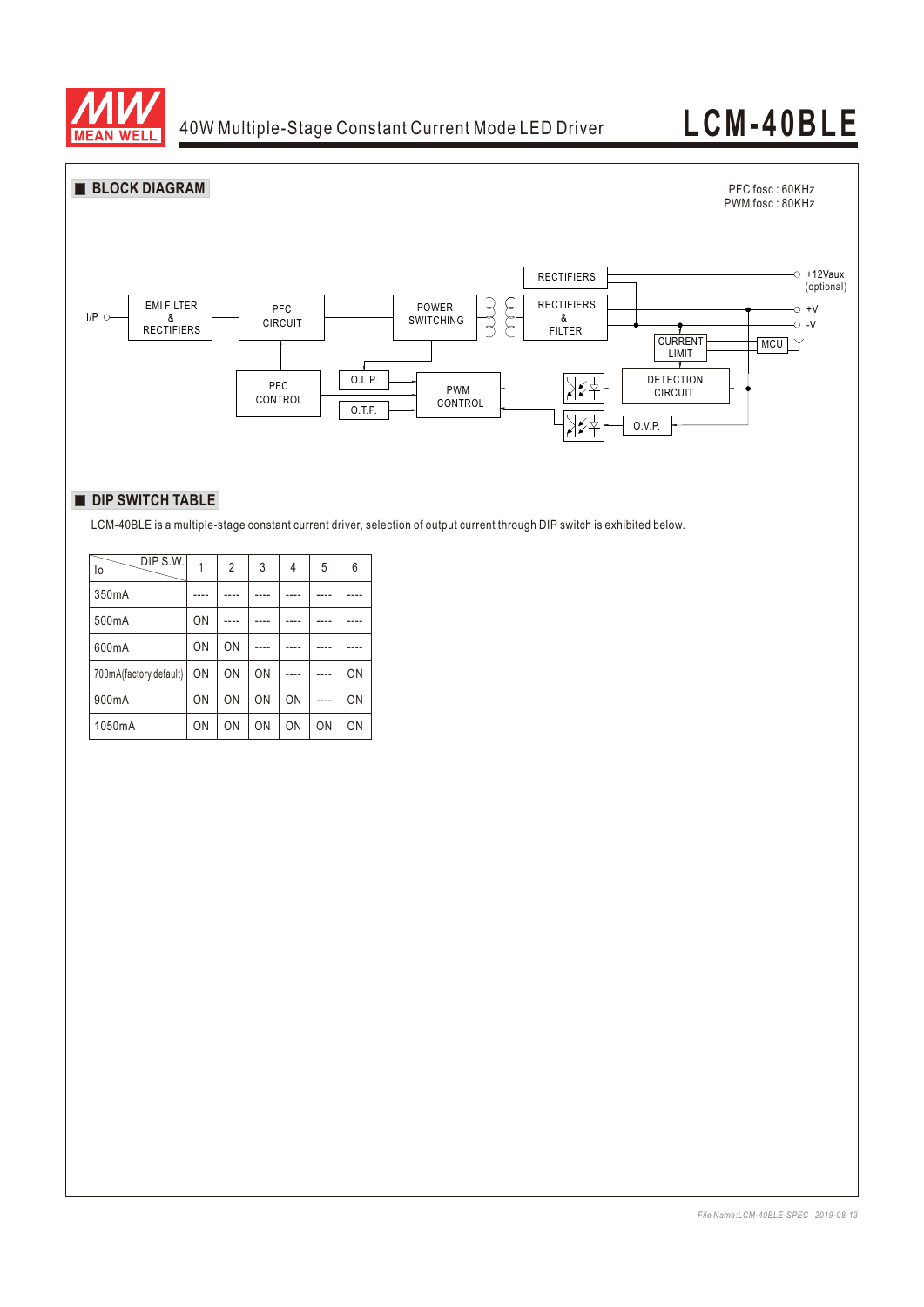

# **LCM-40BLE**



### **DIP SWITCH TABLE**

LCM-40BLE is a multiple-stage constant current driver, selection of output current through DIP switch is exhibited below.

| DIP S.W.<br>lo         |    | 2  | 3         | 4         | 5  | 6  |
|------------------------|----|----|-----------|-----------|----|----|
| 350mA                  |    |    |           |           |    |    |
| 500mA                  | ON |    |           |           |    |    |
| 600mA                  | ON | ON |           |           |    |    |
| 700mA(factory default) | ON | ON | ON        |           |    | ON |
| 900mA                  | ON | ON | ON        | ON        |    | ON |
| 1050mA                 | ON | ON | <b>ON</b> | <b>ON</b> | ON | ON |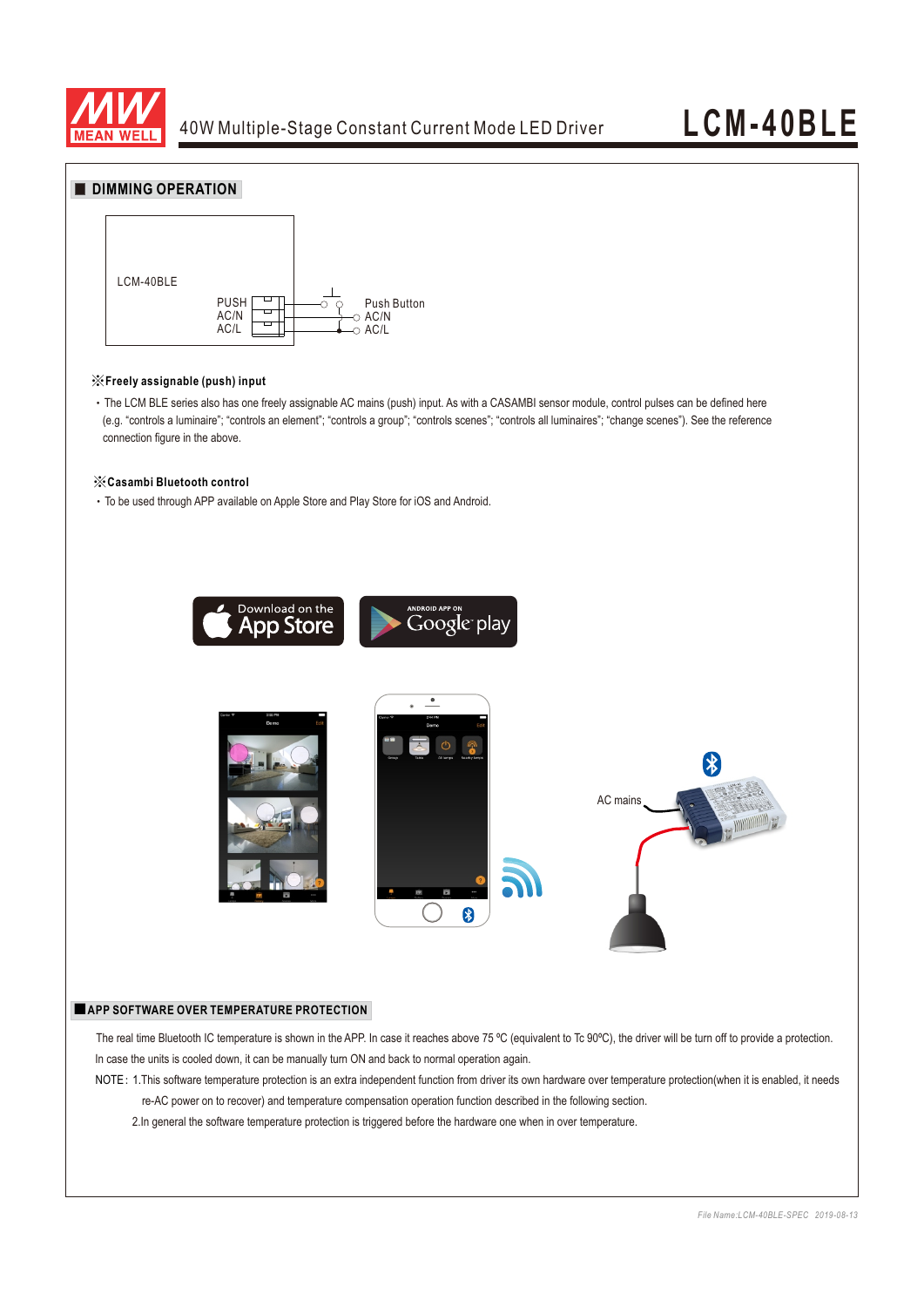

### **DIMMING OPERATION**



#### ※**Freely assignable (push) input**

 ‧The LCM BLE series also has one freely assignable AC mains (push) input. As with a CASAMBI sensor module, control pulses can be defined here (e.g. "controls a luminaire"; "controls an element"; "controls a group"; "controls scenes"; "controls all luminaires"; "change scenes"). See the reference connection figure in the above.

#### ※**Casambi Bluetooth control**

‧To be used through APP available on Apple Store and Play Store for iOS and Android.



#### ■**APP SOFTWARE OVER TEMPERATURE PROTECTION**

The real time Bluetooth IC temperature is shown in the APP. In case it reaches above 75 °C (equivalent to Tc 90°C), the driver will be turn off to provide a protection. In case the units is cooled down, it can be manually turn ON and back to normal operation again.

NOTE: 1.This software temperature protection is an extra independent function from driver its own hardware over temperature protection(when it is enabled, it needs re-AC power on to recover) and temperature compensation operation function described in the following section.

2.In general the software temperature protection is triggered before the hardware one when in over temperature.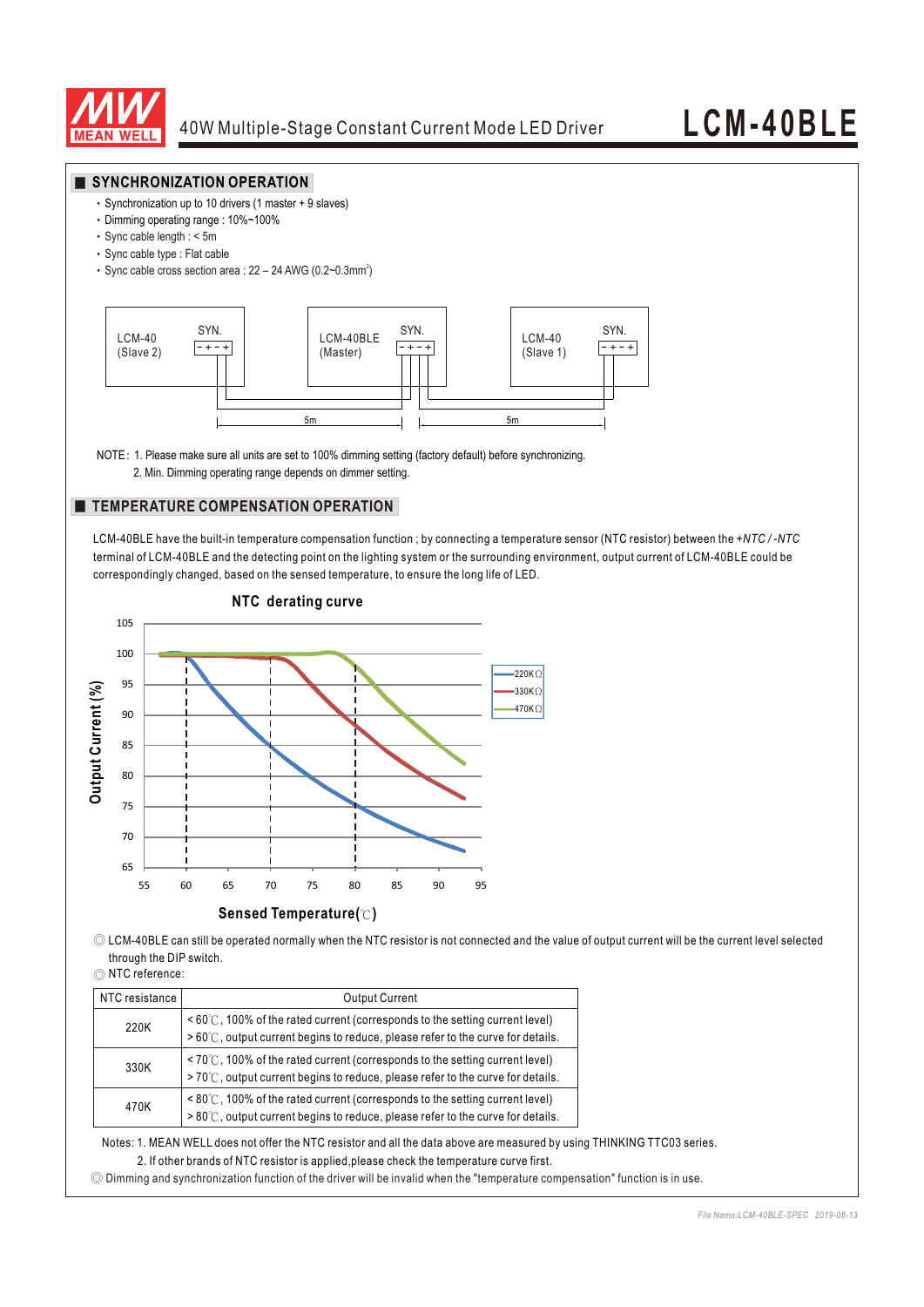

#### **SYNCHRONIZATION OPERATION**

- ‧Synchronization up to 10 drivers (1 master + 9 slaves)
- ‧Dimming operating range : 10%~100%
- ‧Sync cable length : < 5m
- ‧Sync cable type : Flat cable
- Sync cable cross section area :  $22 24$  AWG (0.2~0.3mm<sup>2</sup>)



NOTE: 1. Please make sure all units are set to 100% dimming setting (factory default) before synchronizing.

2. Min. Dimming operating range depends on dimmer setting.

#### **TEMPERATURE COMPENSATION OPERATION**

LCM-40BLE have the built-in temperature compensation function ; by connecting a temperature sensor (NTC resistor) between the *+NTC / -NTC*  terminal of LCM-40BLE and the detecting point on the lighting system or the surrounding environment, output current of LCM-40BLE could be correspondingly changed, based on the sensed temperature, to ensure the long life of LED.



◎ LCM-40BLE can still be operated normally when the NTC resistor is not connected and the value of output current will be the current level selected through the DIP switch.

◎ NTC reference:

| NTC resistance I | <b>Output Current</b>                                                                                                                                                                         |  |  |  |  |
|------------------|-----------------------------------------------------------------------------------------------------------------------------------------------------------------------------------------------|--|--|--|--|
| 220K             | $\leq 60^{\circ}$ (100% of the rated current (corresponds to the setting current level)<br>$>60^{\circ}$ C, output current begins to reduce, please refer to the curve for details.           |  |  |  |  |
| 330K             | $\leq 70^{\circ}$ (100% of the rated current (corresponds to the setting current level)<br>>70°C, output current begins to reduce, please refer to the curve for details.                     |  |  |  |  |
| 470K             | $\leq 80^{\circ}$ ( $\sim$ , 100% of the rated current (corresponds to the setting current level)<br>$>80^{\circ}$ c, output current begins to reduce, please refer to the curve for details. |  |  |  |  |

Notes: 1. MEAN WELL does not offer the NTC resistor and all the data above are measured by using THINKING TTC03 series.

2. If other brands of NTC resistor is applied,please check the temperature curve first.

◎ Dimming and synchronization function of the driver will be invalid when the "temperature compensation" function is in use.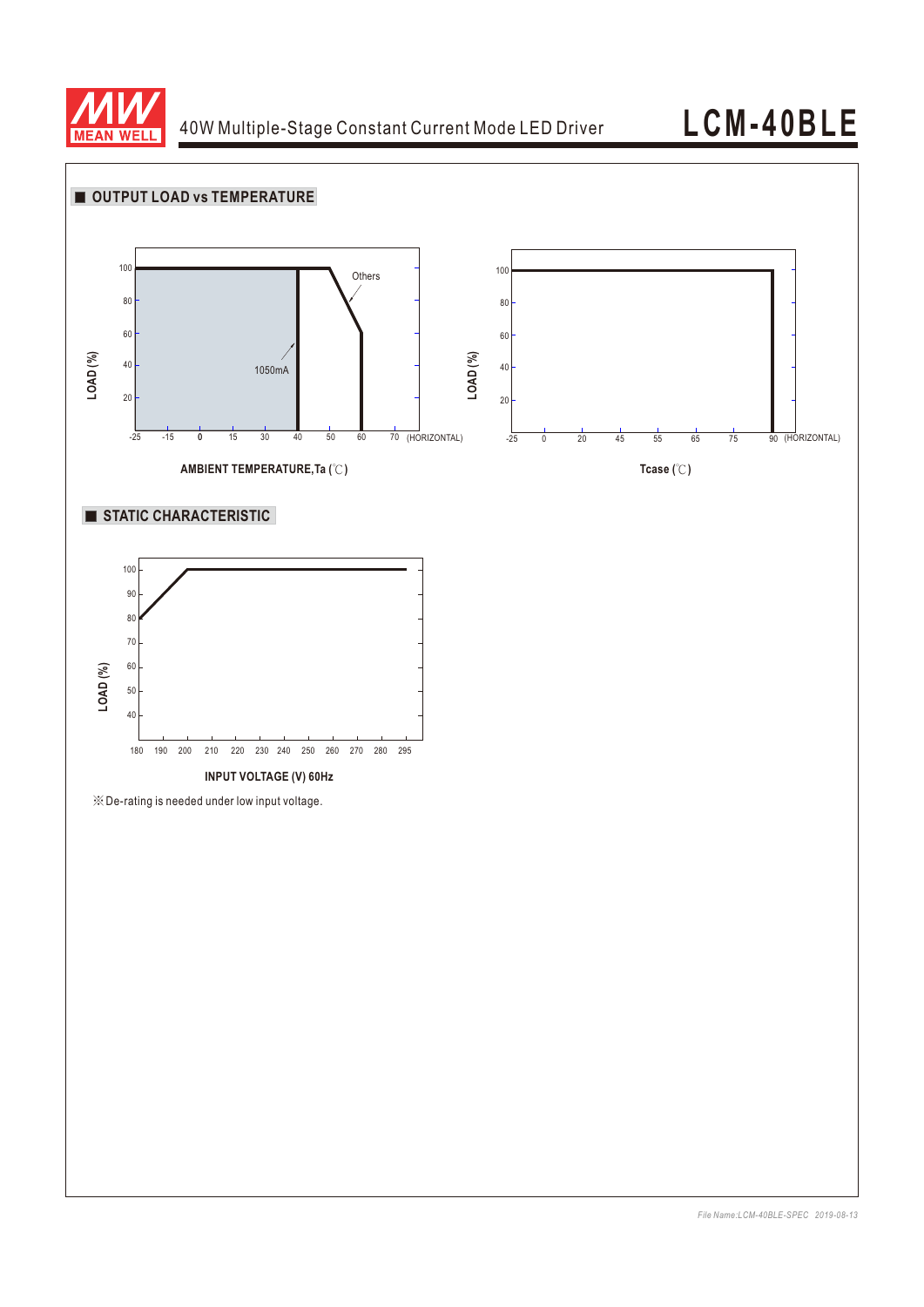

# **LCM-40BLE**

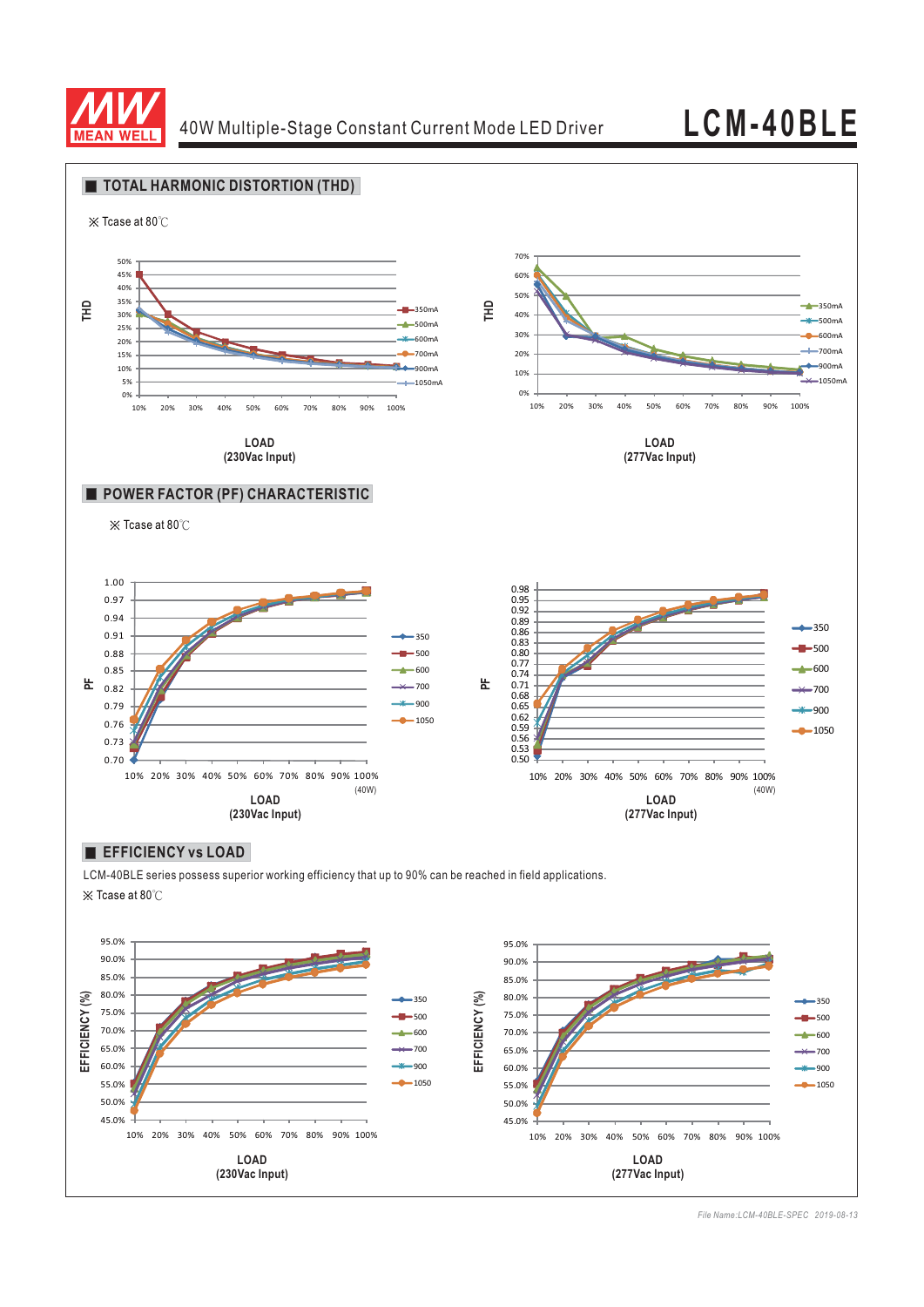

45.0%

10% 20% 30% 40% 50% 60% 70% 80% 90% 100%

**LOAD (230Vac Input)**

# **LCM-40BLE**



45.0%

10% 20% 30% 40% 50% 60% 70% 80% 90% 100%

**LOAD (277Vac Input)**